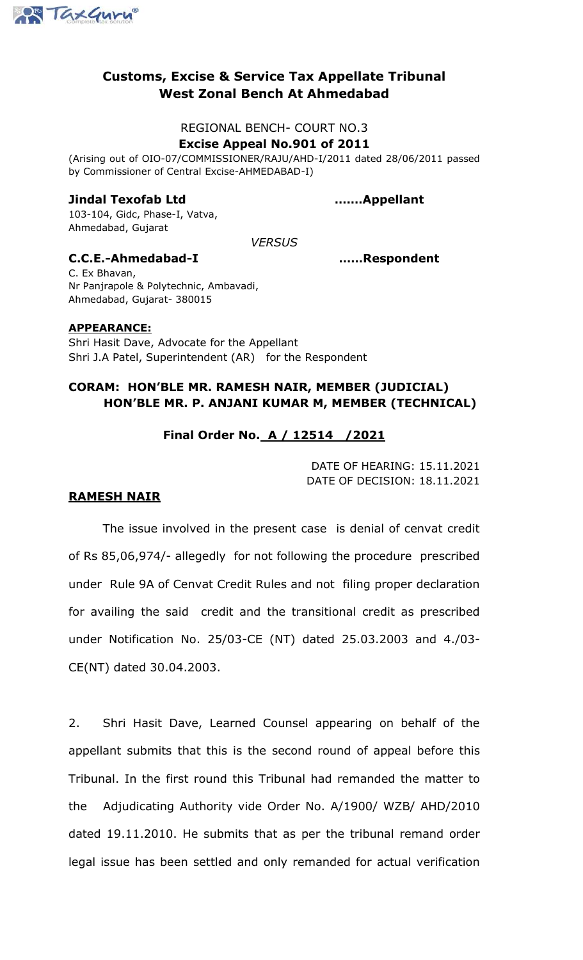

# **Customs, Excise & Service Tax Appellate Tribunal West Zonal Bench At Ahmedabad**

## REGIONAL BENCH- COURT NO.3 **Excise Appeal No.901 of 2011**

(Arising out of OIO-07/COMMISSIONER/RAJU/AHD-I/2011 dated 28/06/2011 passed by Commissioner of Central Excise-AHMEDABAD-I)

## **Jindal Texofab Ltd ….…Appellant**

103-104, Gidc, Phase-I, Vatva, Ahmedabad, Gujarat

*VERSUS*

## **C.C.E.-Ahmedabad-I ……Respondent**

C. Ex Bhavan, Nr Panjrapole & Polytechnic, Ambavadi, Ahmedabad, Gujarat- 380015

## **APPEARANCE:**

Shri Hasit Dave, Advocate for the Appellant Shri J.A Patel, Superintendent (AR) for the Respondent

## **CORAM: HON'BLE MR. RAMESH NAIR, MEMBER (JUDICIAL) HON'BLE MR. P. ANJANI KUMAR M, MEMBER (TECHNICAL)**

## **Final Order No. A / 12514 /2021**

DATE OF HEARING: 15.11.2021 DATE OF DECISION: 18.11.2021

## **RAMESH NAIR**

The issue involved in the present case is denial of cenvat credit of Rs 85,06,974/- allegedly for not following the procedure prescribed under Rule 9A of Cenvat Credit Rules and not filing proper declaration for availing the said credit and the transitional credit as prescribed under Notification No. 25/03-CE (NT) dated 25.03.2003 and 4./03- CE(NT) dated 30.04.2003.

2. Shri Hasit Dave, Learned Counsel appearing on behalf of the appellant submits that this is the second round of appeal before this Tribunal. In the first round this Tribunal had remanded the matter to the Adjudicating Authority vide Order No. A/1900/ WZB/ AHD/2010 dated 19.11.2010. He submits that as per the tribunal remand order legal issue has been settled and only remanded for actual verification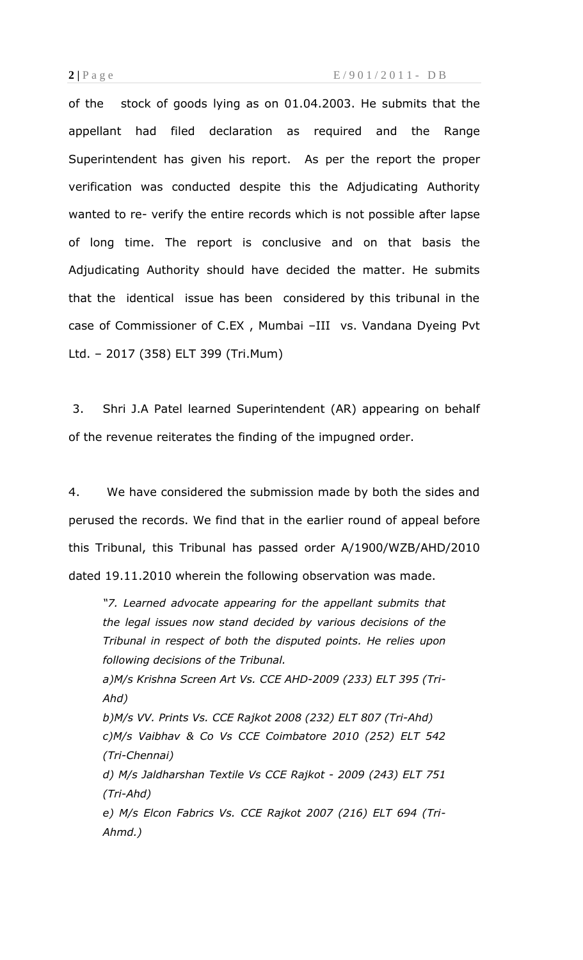of the stock of goods lying as on 01.04.2003. He submits that the appellant had filed declaration as required and the Range Superintendent has given his report. As per the report the proper verification was conducted despite this the Adjudicating Authority wanted to re- verify the entire records which is not possible after lapse of long time. The report is conclusive and on that basis the Adjudicating Authority should have decided the matter. He submits that the identical issue has been considered by this tribunal in the case of Commissioner of C.EX , Mumbai –III vs. Vandana Dyeing Pvt Ltd. – 2017 (358) ELT 399 (Tri.Mum)

3. Shri J.A Patel learned Superintendent (AR) appearing on behalf of the revenue reiterates the finding of the impugned order.

4. We have considered the submission made by both the sides and perused the records. We find that in the earlier round of appeal before this Tribunal, this Tribunal has passed order A/1900/WZB/AHD/2010 dated 19.11.2010 wherein the following observation was made.

*"7. Learned advocate appearing for the appellant submits that the legal issues now stand decided by various decisions of the Tribunal in respect of both the disputed points. He relies upon following decisions of the Tribunal.*

*a)M/s Krishna Screen Art Vs. CCE AHD-2009 (233) ELT 395 (Tri-Ahd)* 

*b)M/s VV. Prints Vs. CCE Rajkot 2008 (232) ELT 807 (Tri-Ahd) c)M/s Vaibhav & Co Vs CCE Coimbatore 2010 (252) ELT 542 (Tri-Chennai)*

*d) M/s Jaldharshan Textile Vs CCE Rajkot - 2009 (243) ELT 751 (Tri-Ahd)*

*e) M/s Elcon Fabrics Vs. CCE Rajkot 2007 (216) ELT 694 (Tri-Ahmd.)*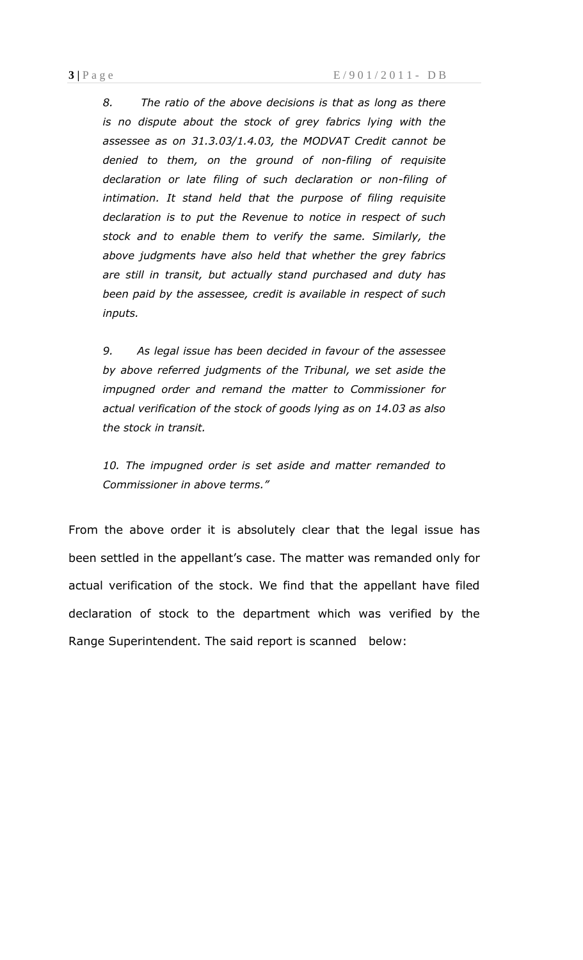*8. The ratio of the above decisions is that as long as there is no dispute about the stock of grey fabrics lying with the assessee as on 31.3.03/1.4.03, the MODVAT Credit cannot be denied to them, on the ground of non-filing of requisite declaration or late filing of such declaration or non-filing of intimation. It stand held that the purpose of filing requisite declaration is to put the Revenue to notice in respect of such stock and to enable them to verify the same. Similarly, the above judgments have also held that whether the grey fabrics are still in transit, but actually stand purchased and duty has been paid by the assessee, credit is available in respect of such inputs.*

*9. As legal issue has been decided in favour of the assessee by above referred judgments of the Tribunal, we set aside the impugned order and remand the matter to Commissioner for actual verification of the stock of goods lying as on 14.03 as also the stock in transit.*

*10. The impugned order is set aside and matter remanded to Commissioner in above terms."*

From the above order it is absolutely clear that the legal issue has been settled in the appellant's case. The matter was remanded only for actual verification of the stock. We find that the appellant have filed declaration of stock to the department which was verified by the Range Superintendent. The said report is scanned below: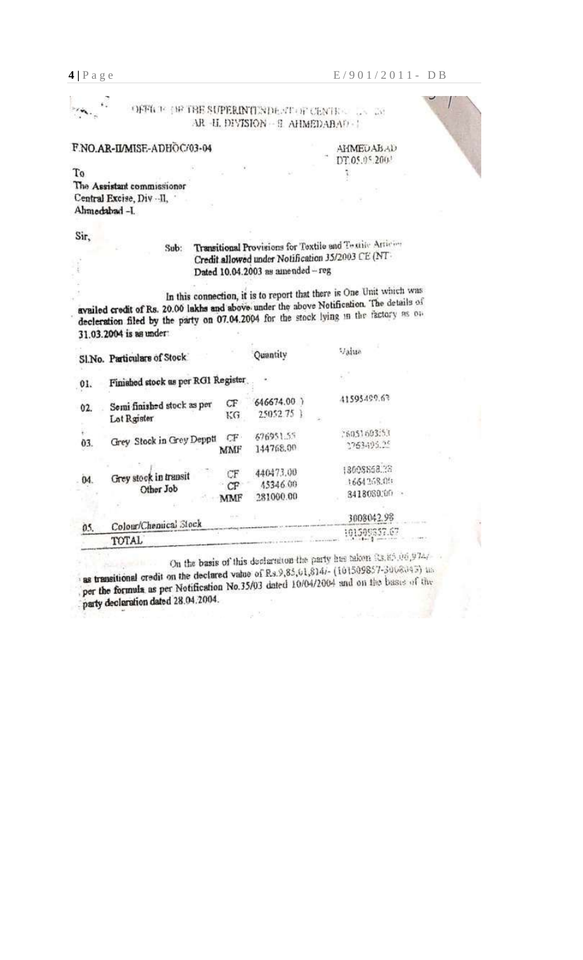¥, OFFICE THE THE SUPERINTENDE STOP CENTERS IN THE AR -H. DIVISION - 9 AHMEDABAD - 1

#### F.NO.AR-II/MISE-ADHOC/03-04

**AHMEDABAD** DT.05.05.2003

ĩ



To The Assistant commissioner Central Excise, Div .- II, Ahmedabad -I.

Sir,

#### Transitional Provisions for Textile and Textile Articles Sub: Credit allowed under Notification 35/2003 CE (NT-Dated 10.04.2003 as amended - reg

In this connection, it is to report that there is One Unit which was availed credit of Rs. 20.00 lakhs and above under the above Notification. The details of decleration filed by the party on 07.04.2004 for the stock lying in the factory as on 31.03.2004 is as under:

|     | SI.No. Particulars of Stock               |                 | Quantity                           | Value                                     |
|-----|-------------------------------------------|-----------------|------------------------------------|-------------------------------------------|
| 01. | Finished stock as per RG1 Register        |                 |                                    | ł.                                        |
| 02. | Semi finished stock as per<br>Lot Rgister | CF<br>KG        | 646674.00 }<br>25052.75            | 41595499.63                               |
| 03. | Grey Stock in Grey Deppti                 | CF.<br>MMF      | 676951.55<br>144768.00             | 26051603.53<br>2763495.25                 |
| 04. | Grey stock in transit<br>Other Job        | CF<br>CF<br>MMF | 440473.00<br>45346.00<br>281000.00 | 18008868.33<br>1664268.00<br>3418080.00 - |
| 05. | Colour/Chemical Stock<br>TOTAL            |                 |                                    | 3008042.98<br>101509357.67                |

On the basis of this declaration the party has taken 03.85,06,9747 as transitional credit on the declared value of Rs.9,85,61,814/- (101509857-3068043) in per the formula as per Notification No.35/03 dated 10/04/2004 and on the basis of the party declaration dated 28.04.2004.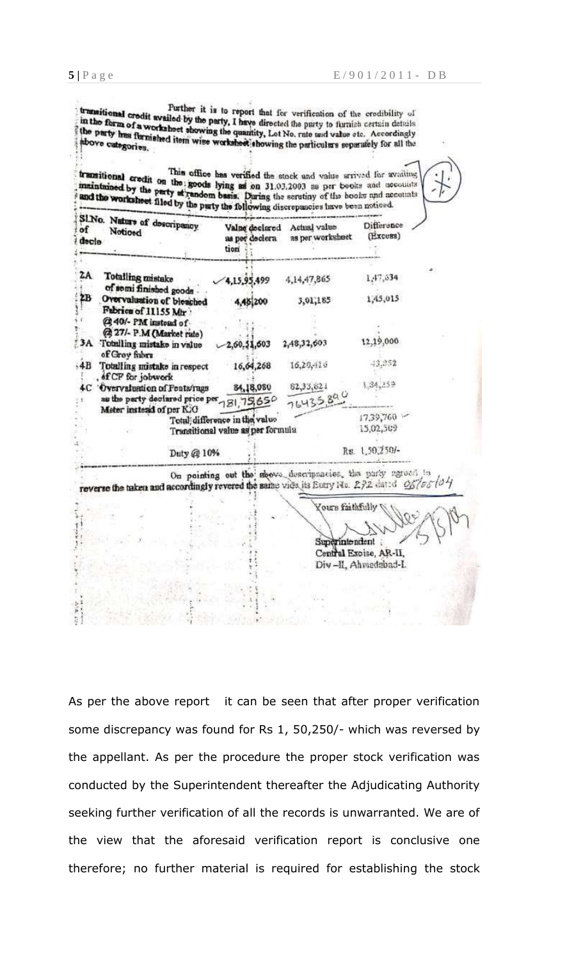Purther it is to report that for verification of the credibility of Further it is to report that for verification of the credibility of<br>in the form of a worksheet showing the quantity. Let No. rate and value etc. Accordingly<br>the party has flux: . in the form of a worksheet showing the quantity, Let No. rate und value etc. Accordingly the party has furnished item wise worksheet showing the party be und value etc. Accordingly showe categories.

This office has verified the stock and value arrived for availing maintained by the party at random basis. During the serutiny of the books and accounts and the worksheet filed by the party at random basis. During the seru This office has verified the stock and value arrived for availing

| SINo. Nature of descripancy<br>of<br>Noticed<br>decle                                                    | Valne declared<br>as per declera<br>tion                           | Actual value<br>as per worksheet                             | Difference<br>(Excess)                        |  |
|----------------------------------------------------------------------------------------------------------|--------------------------------------------------------------------|--------------------------------------------------------------|-----------------------------------------------|--|
| ZA<br>Totalling mistake<br>of semi finished goods                                                        | 1,15,95,499                                                        | 4,14,47,865                                                  | 1,47,634                                      |  |
| 2B<br>Overvaluation of bleached<br>Fabrics of 11155 Mhr.                                                 | 4,45,200                                                           | 3,01,185                                                     | 1,45,015                                      |  |
| @40/- PM instead of<br>@ 27/- P.M (Market rate)                                                          |                                                                    |                                                              |                                               |  |
| 3A Totalling mistake in value<br>of Groy fubry                                                           | 2,60.51,603                                                        | 2,48,32,603                                                  | 12,19,000                                     |  |
| $-4B$<br>Totalling mistake in respect<br>, of CP for jobwork                                             | 16,64,268                                                          | 16,20,416                                                    | $-13.352$                                     |  |
| 4C Overvaluation of Fents/rags<br>as the party declared price per 781, 75,650                            | 84,18,080                                                          | 82,33,821<br>76435.890                                       | 1,34,259                                      |  |
| Meter instead of per KiG                                                                                 | Total difference in the value<br>Transitional value as per formula |                                                              | 17,39,760<br>15,02,509                        |  |
| Duty @ 10%                                                                                               |                                                                    |                                                              | Rs. 1,50,250/-                                |  |
| reverse the taken and accordingly revered the same vide its Eury No. 272 dated $Q_0^{z}/\sigma_0^{-1/3}$ |                                                                    | On pointing out the news descriptacies, the purity agreed in |                                               |  |
|                                                                                                          |                                                                    | Yours faithfully<br>Superintendent                           |                                               |  |
|                                                                                                          |                                                                    |                                                              | Central Excise, AR-II,<br>Div-II, Ahmedabad-L |  |
|                                                                                                          |                                                                    |                                                              |                                               |  |

As per the above report it can be seen that after proper verification some discrepancy was found for Rs 1, 50,250/- which was reversed by the appellant. As per the procedure the proper stock verification was conducted by the Superintendent thereafter the Adjudicating Authority seeking further verification of all the records is unwarranted. We are of the view that the aforesaid verification report is conclusive one therefore; no further material is required for establishing the stock